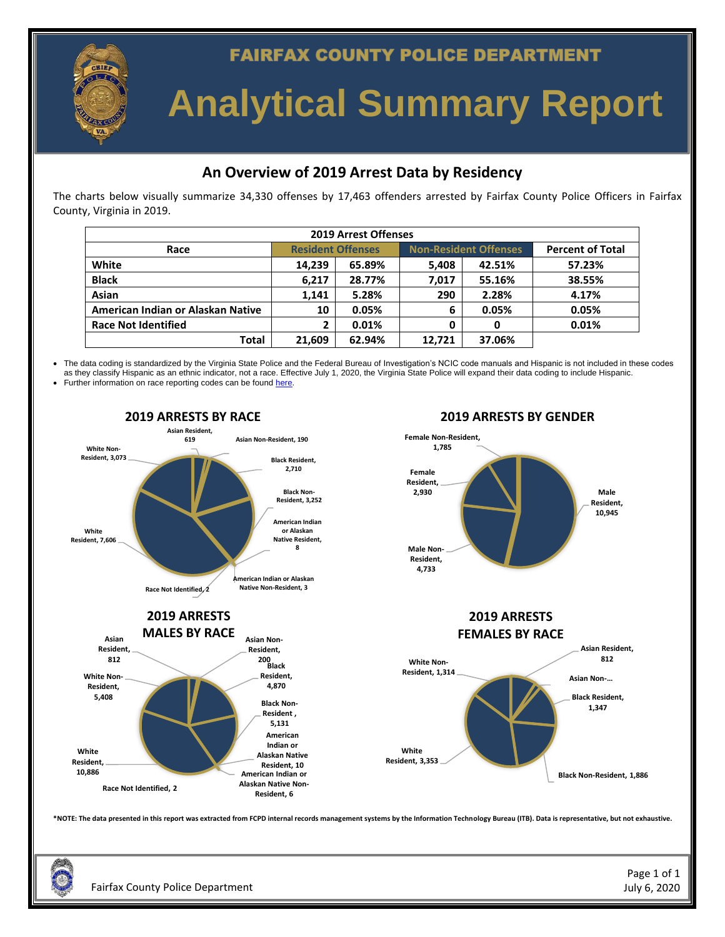

**FAIRFAX COUNTY POLICE DEPARTMENT** 

# **Analytical Summary Report**

### **An Overview of 2019 Arrest Data by Residency**

The charts below visually summarize 34,330 offenses by 17,463 offenders arrested by Fairfax County Police Officers in Fairfax County, Virginia in 2019.

| <b>2019 Arrest Offenses</b>       |                          |        |                              |        |                         |  |  |  |  |  |
|-----------------------------------|--------------------------|--------|------------------------------|--------|-------------------------|--|--|--|--|--|
| Race                              | <b>Resident Offenses</b> |        | <b>Non-Resident Offenses</b> |        | <b>Percent of Total</b> |  |  |  |  |  |
| White                             | 14,239                   | 65.89% | 5.408                        | 42.51% | 57.23%                  |  |  |  |  |  |
| <b>Black</b>                      | 6.217                    | 28.77% | 7.017                        | 55.16% | 38.55%                  |  |  |  |  |  |
| Asian                             | 1.141                    | 5.28%  | 290                          | 2.28%  | 4.17%                   |  |  |  |  |  |
| American Indian or Alaskan Native | 10                       | 0.05%  | 6                            | 0.05%  | 0.05%                   |  |  |  |  |  |
| <b>Race Not Identified</b>        | $\mathbf{2}$             | 0.01%  | 0                            | 0      | 0.01%                   |  |  |  |  |  |
| Total                             | 21.609                   | 62.94% | 12.721                       | 37.06% |                         |  |  |  |  |  |

• The data coding is standardized by the Virginia State Police and the Federal Bureau of Investigation's NCIC code manuals and Hispanic is not included in these codes as they classify Hispanic as an ethnic indicator, not a race. Effective July 1, 2020, the Virginia State Police will expand their data coding to include Hispanic.

Further information on race reporting codes can be found [here.](https://www.vsp.virginia.gov/afis/livescan/files/VSP%20Race%20Codes%20and%20Explanation.htm)



Fairfax County Police Department July 6, 2020